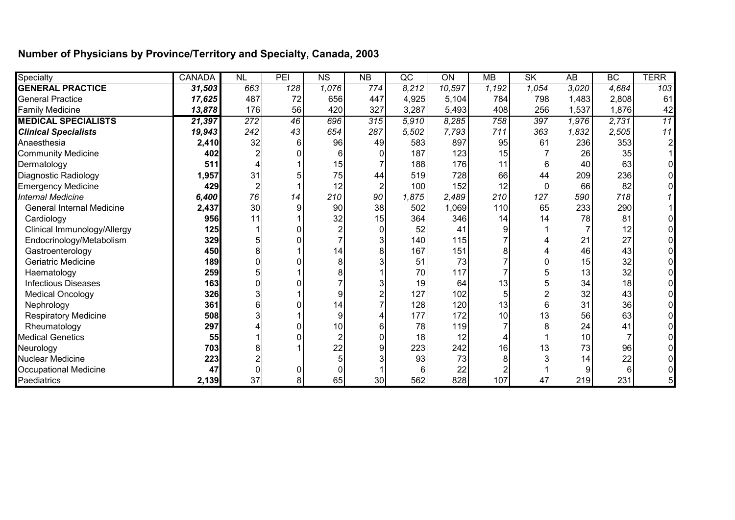## **Number of Physicians by Province/Territory and Specialty, Canada, 2003**

| Specialty                        | <b>CANADA</b> | N <sub>L</sub> | PEI             | $\overline{\text{NS}}$ | $\overline{NB}$ | $\overline{\text{QC}}$ | ON     | <b>MB</b> | <b>SK</b> | $\overline{AB}$ | <b>BC</b> | <b>TERR</b>     |
|----------------------------------|---------------|----------------|-----------------|------------------------|-----------------|------------------------|--------|-----------|-----------|-----------------|-----------|-----------------|
| <b>GENERAL PRACTICE</b>          | 31,503        | 663            | 128             | 1,076                  | 774             | 8,212                  | 10,597 | 1,192     | 1,054     | 3.020           | 4,684     | 103             |
| <b>General Practice</b>          | 17,625        | 487            | 72              | 656                    | 447             | 4,925                  | 5,104  | 784       | 798       | 1,483           | 2,808     | 61              |
| <b>Family Medicine</b>           | 13,878        | 176            | 56              | 420                    | 327             | 3,287                  | 5,493  | 408       | 256       | 1,537           | 1,876     | 42              |
| <b>MEDICAL SPECIALISTS</b>       | 21,397        | 272            | $\overline{46}$ | 696                    | 315             | 5.910                  | 8,285  | 758       | 397       | 1,976           | 2,731     | $\overline{11}$ |
| <b>Clinical Specialists</b>      | 19,943        | 242            | 43              | 654                    | 287             | 5,502                  | 7,793  | 711       | 363       | 1,832           | 2,505     | 11              |
| Anaesthesia                      | 2,410         | 32             |                 | 96                     | 49              | 583                    | 897    | 95        | 61        | 236             | 353       | 2               |
| <b>Community Medicine</b>        | 402           |                |                 |                        |                 | 187                    | 123    | 15        |           | 26              | 35        |                 |
| Dermatology                      | 511           |                |                 | 15                     |                 | 188                    | 176    | 11        |           | 40              | 63        |                 |
| <b>Diagnostic Radiology</b>      | 1,957         | 31             |                 | 75                     | 44              | 519                    | 728    | 66        | 44        | 209             | 236       |                 |
| <b>Emergency Medicine</b>        | 429           |                |                 | 12                     |                 | 100                    | 152    | 12        |           | 66              | 82        |                 |
| <b>Internal Medicine</b>         | 6,400         | 76             | 14              | 210                    | 90              | 1,875                  | 2,489  | 210       | 127       | 590             | 718       |                 |
| <b>General Internal Medicine</b> | 2,437         | 30             |                 | 90                     | 38              | 502                    | 1,069  | 110       | 65        | 233             | 290       |                 |
| Cardiology                       | 956           | 11             |                 | 32                     | 15              | 364                    | 346    | 14        | 14        | 78              | 81        |                 |
| Clinical Immunology/Allergy      | 125           |                |                 |                        |                 | 52                     | 41     |           |           |                 | 12        |                 |
| Endocrinology/Metabolism         | 329           |                |                 |                        |                 | 140                    | 115    |           |           | 21              | 27        |                 |
| Gastroenterology                 | 450           |                |                 | 14                     |                 | 167                    | 151    |           |           | 46              | 43        |                 |
| <b>Geriatric Medicine</b>        | 189           |                |                 |                        |                 | 51                     | 73     |           |           | 15              | 32        |                 |
| Haematology                      | 259           |                |                 |                        |                 | 70                     | 117    |           |           | 13              | 32        |                 |
| <b>Infectious Diseases</b>       | 163           |                |                 |                        |                 | 19                     | 64     | 13        |           | 34              | 18        |                 |
| <b>Medical Oncology</b>          | 326           |                |                 | 9                      |                 | 127                    | 102    |           |           | 32              | 43        |                 |
| Nephrology                       | 361           |                |                 | 14                     |                 | 128                    | 120    | 13        |           | 31              | 36        |                 |
| <b>Respiratory Medicine</b>      | 508           |                |                 | 9                      |                 | 177                    | 172    | 10        | 13        | 56              | 63        |                 |
| Rheumatology                     | 297           |                |                 | 10                     |                 | 78                     | 119    |           |           | 24              | 41        |                 |
| <b>Medical Genetics</b>          | 55            |                |                 |                        |                 | 18                     | 12     |           |           | 10              |           |                 |
| Neurology                        | 703           |                |                 | 22                     |                 | 223                    | 242    | 16        | 13        | 73              | 96        |                 |
| <b>Nuclear Medicine</b>          | 223           |                |                 |                        |                 | 93                     | 73     |           |           | 14              | 22        |                 |
| <b>Occupational Medicine</b>     | 47            |                |                 |                        |                 |                        | 22     |           |           |                 |           |                 |
| Paediatrics                      | 2,139         | 37             | 8               | 65                     | 30 <sub>l</sub> | 562                    | 828    | 107       | 47        | 219             | 231       |                 |